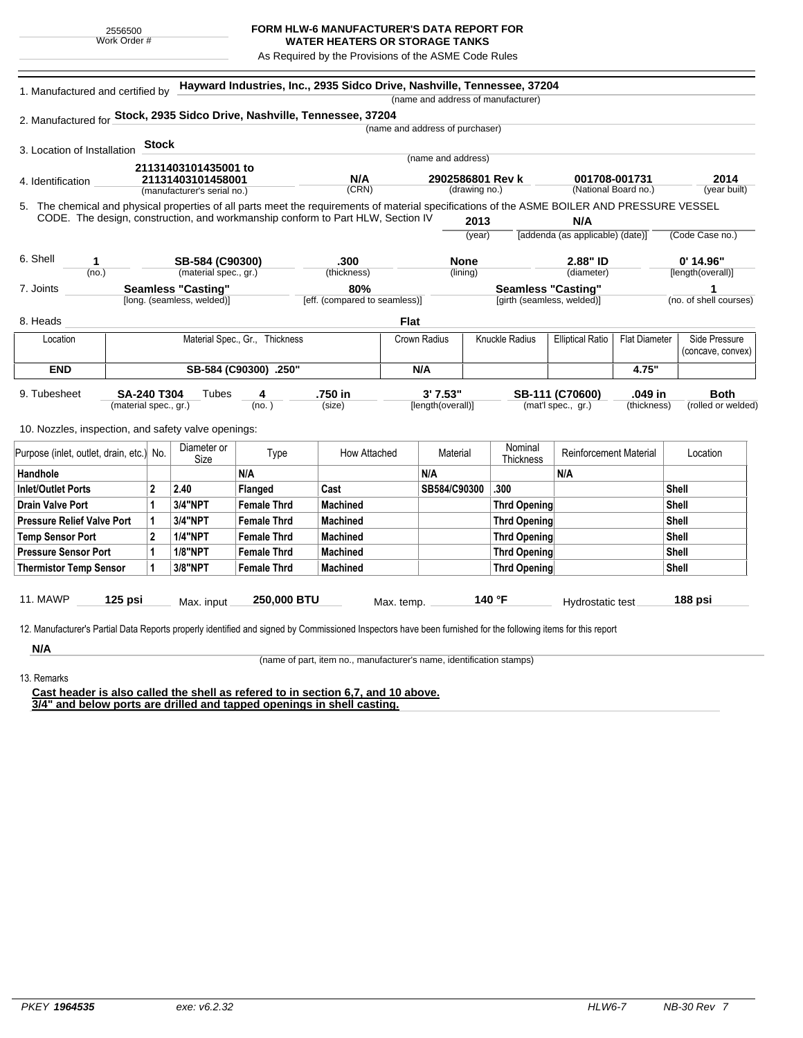## **FORM HLW-6 MANUFACTURER'S DATA REPORT FOR**

**WATER HEATERS OR STORAGE TANKS** As Required by the Provisions of the ASME Code Rules

| 1. Manufactured and certified by                                                                                                             |                           |                                                  |                            | Hayward Industries, Inc., 2935 Sidco Drive, Nashville, Tennessee, 37204 |                               |                   |                                   |       | (name and address of manufacturer) |                                       |                      |                   |                        |  |
|----------------------------------------------------------------------------------------------------------------------------------------------|---------------------------|--------------------------------------------------|----------------------------|-------------------------------------------------------------------------|-------------------------------|-------------------|-----------------------------------|-------|------------------------------------|---------------------------------------|----------------------|-------------------|------------------------|--|
|                                                                                                                                              |                           |                                                  |                            |                                                                         |                               |                   |                                   |       |                                    |                                       |                      |                   |                        |  |
| 2. Manufactured for Stock, 2935 Sidco Drive, Nashville, Tennessee, 37204                                                                     |                           |                                                  |                            |                                                                         |                               |                   | (name and address of purchaser)   |       |                                    |                                       |                      |                   |                        |  |
|                                                                                                                                              |                           |                                                  |                            |                                                                         |                               |                   |                                   |       |                                    |                                       |                      |                   |                        |  |
| 3. Location of Installation                                                                                                                  |                           | <b>Stock</b>                                     |                            |                                                                         |                               |                   | (name and address)                |       |                                    |                                       |                      |                   |                        |  |
|                                                                                                                                              |                           |                                                  | 21131403101435001 to       |                                                                         |                               |                   |                                   |       |                                    |                                       |                      |                   |                        |  |
| 4. Identification                                                                                                                            |                           | 21131403101458001<br>(manufacturer's serial no.) |                            |                                                                         | N/A<br>(CRN)                  |                   | 2902586801 Rev k<br>(drawing no.) |       |                                    | 001708-001731<br>(National Board no.) |                      |                   | 2014<br>(year built)   |  |
|                                                                                                                                              |                           |                                                  |                            |                                                                         |                               |                   |                                   |       |                                    |                                       |                      |                   |                        |  |
| 5. The chemical and physical properties of all parts meet the requirements of material specifications of the ASME BOILER AND PRESSURE VESSEL |                           |                                                  |                            |                                                                         |                               |                   |                                   |       |                                    | N/A                                   |                      |                   |                        |  |
| CODE. The design, construction, and workmanship conform to Part HLW, Section IV                                                              |                           |                                                  |                            |                                                                         |                               |                   | 2013<br>(year)                    |       | [addenda (as applicable) (date)]   |                                       | (Code Case no.)      |                   |                        |  |
|                                                                                                                                              |                           |                                                  |                            |                                                                         |                               |                   |                                   |       |                                    |                                       |                      |                   |                        |  |
| 6. Shell<br>1<br>(no.)                                                                                                                       |                           | SB-584 (C90300)<br>(material spec., gr.)         |                            |                                                                         | .300                          |                   | <b>None</b>                       |       | 2.88" ID                           |                                       |                      |                   | $0'$ 14.96"            |  |
|                                                                                                                                              |                           |                                                  |                            |                                                                         | (thickness)                   |                   | (lining)                          |       |                                    | (diameter)                            |                      | [length(overall)] |                        |  |
| 7. Joints                                                                                                                                    |                           |                                                  | <b>Seamless "Casting"</b>  |                                                                         | 80%                           |                   |                                   |       | <b>Seamless "Casting"</b>          |                                       |                      |                   | 1                      |  |
|                                                                                                                                              |                           |                                                  | [long. (seamless, welded)] |                                                                         | [eff. (compared to seamless)] |                   |                                   |       | [girth (seamless, welded)]         |                                       |                      |                   | (no. of shell courses) |  |
| 8. Heads                                                                                                                                     |                           |                                                  |                            |                                                                         |                               | <b>Flat</b>       |                                   |       |                                    |                                       |                      |                   |                        |  |
| Location                                                                                                                                     |                           |                                                  |                            | Material Spec., Gr., Thickness                                          |                               | Crown Radius      |                                   |       | <b>Knuckle Radius</b>              | <b>Elliptical Ratio</b>               | <b>Flat Diameter</b> |                   | Side Pressure          |  |
|                                                                                                                                              |                           |                                                  |                            |                                                                         |                               |                   |                                   |       |                                    |                                       |                      |                   | (concave, convex)      |  |
| <b>END</b><br>SB-584 (C90300) .250"                                                                                                          |                           |                                                  |                            | N/A                                                                     |                               |                   |                                   | 4.75" |                                    |                                       |                      |                   |                        |  |
| 9. Tubesheet                                                                                                                                 | SA-240 T304<br>Tubes<br>4 |                                                  |                            |                                                                         | .750 in                       |                   | 3' 7.53"                          |       |                                    | .049 in<br>SB-111 (C70600)            |                      |                   | <b>Both</b>            |  |
|                                                                                                                                              |                           | (material spec., gr.)                            |                            | (no. )                                                                  | (size)                        | [length(overall)] |                                   |       |                                    | (mat'l spec., gr.)<br>(thickness)     |                      |                   | (rolled or welded)     |  |
|                                                                                                                                              |                           |                                                  |                            |                                                                         |                               |                   |                                   |       |                                    |                                       |                      |                   |                        |  |
| 10. Nozzles, inspection, and safety valve openings:                                                                                          |                           |                                                  |                            |                                                                         |                               |                   |                                   |       |                                    |                                       |                      |                   |                        |  |
| Purpose (inlet, outlet, drain, etc.) No.                                                                                                     |                           |                                                  | Diameter or<br>Size        | Type                                                                    | How Attached                  |                   | Material                          |       | Nominal<br><b>Thickness</b>        | <b>Reinforcement Material</b>         |                      |                   | Location               |  |
| Handhole                                                                                                                                     |                           |                                                  |                            | N/A                                                                     |                               |                   | N/A                               |       |                                    | N/A                                   |                      |                   |                        |  |
| Inlet/Outlet Ports                                                                                                                           |                           | $\mathbf{2}$                                     | 2.40                       | Flanged                                                                 | Cast                          |                   | SB584/C90300                      |       | .300                               |                                       |                      | <b>Shell</b>      |                        |  |
| <b>Drain Valve Port</b>                                                                                                                      |                           | $\mathbf{1}$                                     | 3/4"NPT                    | <b>Female Thrd</b>                                                      | <b>Machined</b>               |                   |                                   |       | <b>Thrd Opening</b>                |                                       |                      | <b>Shell</b>      |                        |  |
| <b>Pressure Relief Valve Port</b>                                                                                                            |                           | 1                                                | 3/4"NPT                    | <b>Female Thrd</b>                                                      | <b>Machined</b>               |                   |                                   |       | <b>Thrd Opening</b>                |                                       |                      | Shell             |                        |  |
| <b>Temp Sensor Port</b>                                                                                                                      |                           | $\mathbf 2$                                      | <b>1/4"NPT</b>             | <b>Female Thrd</b>                                                      | <b>Machined</b>               |                   |                                   |       | <b>Thrd Opening</b>                |                                       |                      | Shell             |                        |  |
| <b>Pressure Sensor Port</b>                                                                                                                  |                           | 1                                                | <b>1/8"NPT</b>             | <b>Female Thrd</b>                                                      | Machined                      |                   |                                   |       | <b>Thrd Opening</b>                |                                       |                      | Shell             |                        |  |
| <b>Thermistor Temp Sensor</b>                                                                                                                |                           | 1                                                | 3/8"NPT                    | <b>Female Thrd</b>                                                      | <b>Machined</b>               |                   |                                   |       | <b>Thrd Opening</b>                |                                       |                      | Shell             |                        |  |
|                                                                                                                                              |                           |                                                  |                            |                                                                         |                               |                   |                                   |       |                                    |                                       |                      |                   |                        |  |
|                                                                                                                                              | 125 psi                   |                                                  | Max. input                 | 250,000 BTU                                                             |                               | Max. temp.        |                                   |       | 140 °F                             | Hydrostatic test                      |                      | 188 psi           |                        |  |

13. Remarks

**N/A**

(name of part, item no., manufacturer's name, identification stamps)

**Cast header is also called the shell as refered to in section 6,7, and 10 above. 3/4" and below ports are drilled and tapped openings in shell casting.**